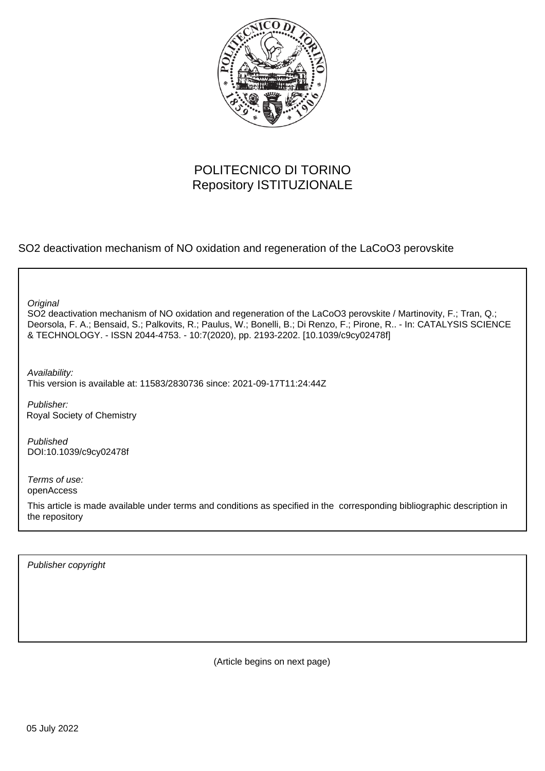

# POLITECNICO DI TORINO Repository ISTITUZIONALE

SO2 deactivation mechanism of NO oxidation and regeneration of the LaCoO3 perovskite

**Original** 

SO2 deactivation mechanism of NO oxidation and regeneration of the LaCoO3 perovskite / Martinovity, F.; Tran, Q.; Deorsola, F. A.; Bensaid, S.; Palkovits, R.; Paulus, W.; Bonelli, B.; Di Renzo, F.; Pirone, R.. - In: CATALYSIS SCIENCE & TECHNOLOGY. - ISSN 2044-4753. - 10:7(2020), pp. 2193-2202. [10.1039/c9cy02478f]

Availability: This version is available at: 11583/2830736 since: 2021-09-17T11:24:44Z

Publisher: Royal Society of Chemistry

Published DOI:10.1039/c9cy02478f

Terms of use: openAccess

This article is made available under terms and conditions as specified in the corresponding bibliographic description in the repository

Publisher copyright

(Article begins on next page)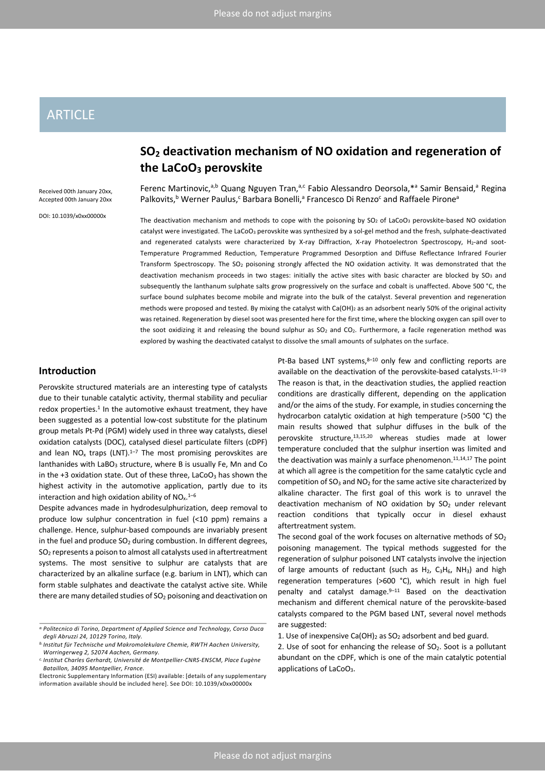# ARTICLE

Received 00th January 20xx, Accepted 00th January 20xx

DOI: 10.1039/x0xx00000x

# **SO2 deactivation mechanism of NO oxidation and regeneration of the LaCoO3 perovskite**

Ferenc Martinovic,<sup>a,b</sup> Quang Nguyen Tran,<sup>a,c</sup> Fabio Alessandro Deorsola,\*<sup>a</sup> Samir Bensaid,<sup>a</sup> Regina Palkovits,<sup>b</sup> Werner Paulus,<sup>c</sup> Barbara Bonelli,<sup>a</sup> Francesco Di Renzo<sup>c</sup> and Raffaele Pirone<sup>a</sup>

The deactivation mechanism and methods to cope with the poisoning by  $SO_2$  of LaCoO<sub>3</sub> perovskite-based NO oxidation catalyst were investigated. The LaCoO<sub>3</sub> perovskite was synthesized by a sol-gel method and the fresh, sulphate-deactivated and regenerated catalysts were characterized by X-ray Diffraction, X-ray Photoelectron Spectroscopy, H<sub>2</sub>-and soot-Temperature Programmed Reduction, Temperature Programmed Desorption and Diffuse Reflectance Infrared Fourier Transform Spectroscopy. The SO2 poisoning strongly affected the NO oxidation activity. It was demonstrated that the deactivation mechanism proceeds in two stages: initially the active sites with basic character are blocked by SO<sub>3</sub> and subsequently the lanthanum sulphate salts grow progressively on the surface and cobalt is unaffected. Above 500 °C, the surface bound sulphates become mobile and migrate into the bulk of the catalyst. Several prevention and regeneration methods were proposed and tested. By mixing the catalyst with Ca(OH)<sub>2</sub> as an adsorbent nearly 50% of the original activity was retained. Regeneration by diesel soot was presented here for the first time, where the blocking oxygen can spill over to the soot oxidizing it and releasing the bound sulphur as  $SO<sub>2</sub>$  and  $CO<sub>2</sub>$ . Furthermore, a facile regeneration method was explored by washing the deactivated catalyst to dissolve the small amounts of sulphates on the surface.

# **Introduction**

Perovskite structured materials are an interesting type of catalysts due to their tunable catalytic activity, thermal stability and peculiar redox properties.<sup>1</sup> In the automotive exhaust treatment, they have been suggested as a potential low-cost substitute for the platinum group metals Pt-Pd (PGM) widely used in three way catalysts, diesel oxidation catalysts (DOC), catalysed diesel particulate filters (cDPF) and lean  $NO_x$  traps (LNT).<sup>1-7</sup> The most promising perovskites are lanthanides with LaBO<sub>3</sub> structure, where B is usually Fe, Mn and Co in the  $+3$  oxidation state. Out of these three, LaCoO<sub>3</sub> has shown the highest activity in the automotive application, partly due to its interaction and high oxidation ability of  $NO<sub>x</sub>$ .<sup>1-6</sup>

Despite advances made in hydrodesulphurization, deep removal to produce low sulphur concentration in fuel (<10 ppm) remains a challenge. Hence, sulphur-based compounds are invariably present in the fuel and produce  $SO<sub>2</sub>$  during combustion. In different degrees, SO2 represents a poison to almost all catalysts used in aftertreatment systems. The most sensitive to sulphur are catalysts that are characterized by an alkaline surface (e.g. barium in LNT), which can form stable sulphates and deactivate the catalyst active site. While there are many detailed studies of  $SO<sub>2</sub>$  poisoning and deactivation on

Pt-Ba based LNT systems, $8-10$  only few and conflicting reports are available on the deactivation of the perovskite-based catalysts.<sup>11-19</sup> The reason is that, in the deactivation studies, the applied reaction conditions are drastically different, depending on the application and/or the aims of the study. For example, in studies concerning the hydrocarbon catalytic oxidation at high temperature (>500 °C) the main results showed that sulphur diffuses in the bulk of the perovskite structure,13,15,20 whereas studies made at lower temperature concluded that the sulphur insertion was limited and the deactivation was mainly a surface phenomenon. $11,14,17$  The point at which all agree is the competition for the same catalytic cycle and competition of  $SO_3$  and  $NO_2$  for the same active site characterized by alkaline character. The first goal of this work is to unravel the deactivation mechanism of NO oxidation by  $SO<sub>2</sub>$  under relevant reaction conditions that typically occur in diesel exhaust aftertreatment system.

The second goal of the work focuses on alternative methods of  $SO<sub>2</sub>$ poisoning management. The typical methods suggested for the regeneration of sulphur poisoned LNT catalysts involve the injection of large amounts of reductant (such as  $H_2$ ,  $C_3H_6$ , NH<sub>3</sub>) and high regeneration temperatures (>600 °C), which result in high fuel penalty and catalyst damage. $9-11$  Based on the deactivation mechanism and different chemical nature of the perovskite-based catalysts compared to the PGM based LNT, several novel methods are suggested:

*a.Politecnico di Torino, Department of Applied Science and Technology, Corso Duca degli Abruzzi 24, 10129 Torino, Italy.*

*b. Institut für Technische und Makromolekulare Chemie, RWTH Aachen University, Worringerweg 2, 52074 Aachen, Germany.*

*c. Institut Charles Gerhardt, Université de Montpellier-CNRS-ENSCM, Place Eugène Bataillon, 34095 Montpellier, France.*

Electronic Supplementary Information (ESI) available: [details of any supplementary information available should be included here]. See DOI: 10.1039/x0xx00000x

<sup>1.</sup> Use of inexpensive Ca(OH) $_2$  as SO<sub>2</sub> adsorbent and bed guard.

<sup>2.</sup> Use of soot for enhancing the release of  $SO_2$ . Soot is a pollutant abundant on the cDPF, which is one of the main catalytic potential applications of LaCoO<sub>3</sub>.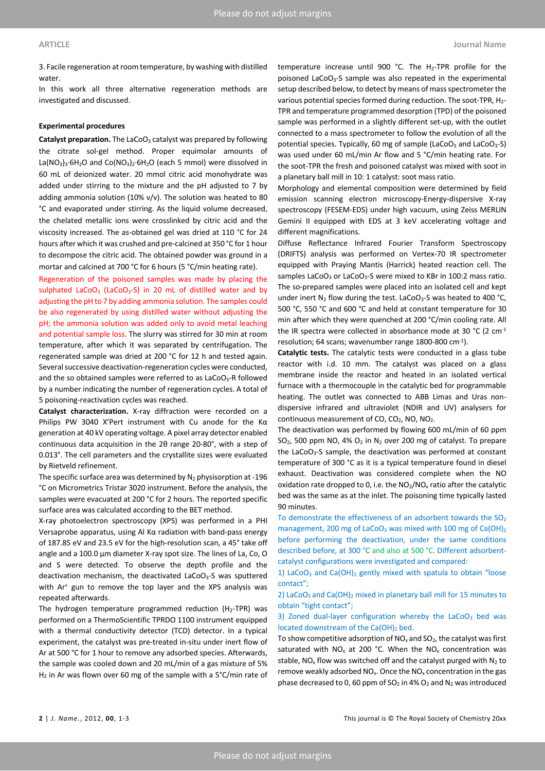3. Facile regeneration at room temperature, by washing with distilled water.

In this work all three alternative regeneration methods are investigated and discussed.

# **Experimental procedures**

**Catalyst preparation.** The LaCoO<sub>3</sub> catalyst was prepared by following the citrate sol-gel method. Proper equimolar amounts of La(NO<sub>3</sub>)<sub>3</sub>·6H<sub>2</sub>O and Co(NO<sub>3</sub>)<sub>2</sub>·6H<sub>2</sub>O (each 5 mmol) were dissolved in 60 mL of deionized water. 20 mmol citric acid monohydrate was added under stirring to the mixture and the pH adjusted to 7 by adding ammonia solution (10% v/v). The solution was heated to 80 °C and evaporated under stirring. As the liquid volume decreased, the chelated metallic ions were crosslinked by citric acid and the viscosity increased. The as-obtained gel was dried at 110 °C for 24 hours after which it was crushed and pre-calcined at 350 °C for 1 hour to decompose the citric acid. The obtained powder was ground in a mortar and calcined at 700 °C for 6 hours (5 °C/min heating rate).

Regeneration of the poisoned samples was made by placing the sulphated LaCoO<sub>3</sub> (LaCoO<sub>3</sub>-S) in 20 mL of distilled water and by adjusting the pH to 7 by adding ammonia solution. The samples could be also regenerated by using distilled water without adjusting the pH; the ammonia solution was added only to avoid metal leaching and potential sample loss. The slurry was stirred for 30 min at room temperature, after which it was separated by centrifugation. The regenerated sample was dried at 200 °C for 12 h and tested again. Several successive deactivation-regeneration cycles were conducted, and the so obtained samples were referred to as  $LaCoO<sub>3</sub>-R$  followed by a number indicating the number of regeneration cycles. A total of 5 poisoning-reactivation cycles was reached.

**Catalyst characterization.** X-ray diffraction were recorded on a Philips PW 3040 X'Pert instrument with Cu anode for the Kα generation at 40 kV operating voltage. A pixel array detector enabled continuous data acquisition in the 2θ range 20-80°, with a step of 0.013°. The cell parameters and the crystallite sizes were evaluated by Rietveld refinement.

The specific surface area was determined by  $N_2$  physisorption at -196 °C on Micrometrics Tristar 3020 instrument. Before the analysis, the samples were evacuated at 200 °C for 2 hours. The reported specific surface area was calculated according to the BET method.

X-ray photoelectron spectroscopy (XPS) was performed in a PHI Versaprobe apparatus, using Al Kα radiation with band-pass energy of 187.85 eV and 23.5 eV for the high-resolution scan, a 45° take off angle and a 100.0 μm diameter X-ray spot size. The lines of La, Co, O and S were detected. To observe the depth profile and the deactivation mechanism, the deactivated LaCoO<sub>3</sub>-S was sputtered with Ar<sup>+</sup> gun to remove the top layer and the XPS analysis was repeated afterwards.

The hydrogen temperature programmed reduction ( $H_2$ -TPR) was performed on a ThermoScientific TPRDO 1100 instrument equipped with a thermal conductivity detector (TCD) detector. In a typical experiment, the catalyst was pre-treated in-situ under inert flow of Ar at 500 °C for 1 hour to remove any adsorbed species. Afterwards, the sample was cooled down and 20 mL/min of a gas mixture of 5% H<sub>2</sub> in Ar was flown over 60 mg of the sample with a 5°C/min rate of temperature increase until 900 °C. The H2-TPR profile for the poisoned LaCoO<sub>3</sub>-S sample was also repeated in the experimental setup described below, to detect by means of mass spectrometer the various potential species formed during reduction. The soot-TPR, H<sub>2</sub>-TPR and temperature programmed desorption (TPD) of the poisoned sample was performed in a slightly different set-up, with the outlet connected to a mass spectrometer to follow the evolution of all the potential species. Typically, 60 mg of sample (LaCoO<sub>3</sub> and LaCoO<sub>3</sub>-S) was used under 60 mL/min Ar flow and 5 °C/min heating rate. For the soot-TPR the fresh and poisoned catalyst was mixed with soot in a planetary ball mill in 10: 1 catalyst: soot mass ratio.

Morphology and elemental composition were determined by field emission scanning electron microscopy-Energy-dispersive X-ray spectroscopy (FESEM-EDS) under high vacuum, using Zeiss MERLIN Gemini II equipped with EDS at 3 keV accelerating voltage and different magnifications.

Diffuse Reflectance Infrared Fourier Transform Spectroscopy (DRIFTS) analysis was performed on Vertex-70 IR spectrometer equipped with Praying Mantis (Harrick) heated reaction cell. The samples LaCoO<sub>3</sub> or LaCoO<sub>3</sub>-S were mixed to KBr in 100:2 mass ratio. The so-prepared samples were placed into an isolated cell and kept under inert  $N_2$  flow during the test. LaCoO<sub>3</sub>-S was heated to 400 °C, 500 °C, 550 °C and 600 °C and held at constant temperature for 30 min after which they were quenched at 200 °C/min cooling rate. All the IR spectra were collected in absorbance mode at 30  $^{\circ}$ C (2 cm<sup>-1</sup> resolution; 64 scans; wavenumber range 1800-800 cm-1).

**Catalytic tests.** The catalytic tests were conducted in a glass tube reactor with i.d. 10 mm. The catalyst was placed on a glass membrane inside the reactor and heated in an isolated vertical furnace with a thermocouple in the catalytic bed for programmable heating. The outlet was connected to ABB Limas and Uras nondispersive infrared and ultraviolet (NDIR and UV) analysers for continuous measurement of  $CO$ ,  $CO<sub>2</sub>$ , NO, NO<sub>2</sub>.

The deactivation was performed by flowing 600 mL/min of 60 ppm  $SO<sub>2</sub>$ , 500 ppm NO, 4%  $O<sub>2</sub>$  in N<sub>2</sub> over 200 mg of catalyst. To prepare the LaCoO3-S sample, the deactivation was performed at constant temperature of 300 °C as it is a typical temperature found in diesel exhaust. Deactivation was considered complete when the NO oxidation rate dropped to 0, i.e. the  $NO<sub>2</sub>/NO<sub>x</sub>$  ratio after the catalytic bed was the same as at the inlet. The poisoning time typically lasted 90 minutes.

To demonstrate the effectiveness of an adsorbent towards the  $SO<sub>2</sub>$ management, 200 mg of LaCoO<sub>3</sub> was mixed with 100 mg of Ca(OH)<sub>2</sub> before performing the deactivation, under the same conditions described before, at 300 °C and also at 500 °C. Different adsorbentcatalyst configurations were investigated and compared:

1) LaCoO<sub>3</sub> and Ca(OH)<sub>2</sub> gently mixed with spatula to obtain "loose contact";

2) LaCoO<sub>3</sub> and Ca(OH)<sub>2</sub> mixed in planetary ball mill for 15 minutes to obtain "tight contact";

3) Zoned dual-layer configuration whereby the  $LaCoO<sub>3</sub>$  bed was located downstream of the Ca(OH)<sub>2</sub> bed.

To show competitive adsorption of  $NO<sub>x</sub>$  and  $SO<sub>2</sub>$ , the catalyst was first saturated with  $NO<sub>x</sub>$  at 200 °C. When the  $NO<sub>x</sub>$  concentration was stable, NO<sub>x</sub> flow was switched off and the catalyst purged with N<sub>2</sub> to remove weakly adsorbed  $NO<sub>x</sub>$ . Once the  $NO<sub>x</sub>$  concentration in the gas phase decreased to 0, 60 ppm of  $SO_2$  in 4%  $O_2$  and  $N_2$  was introduced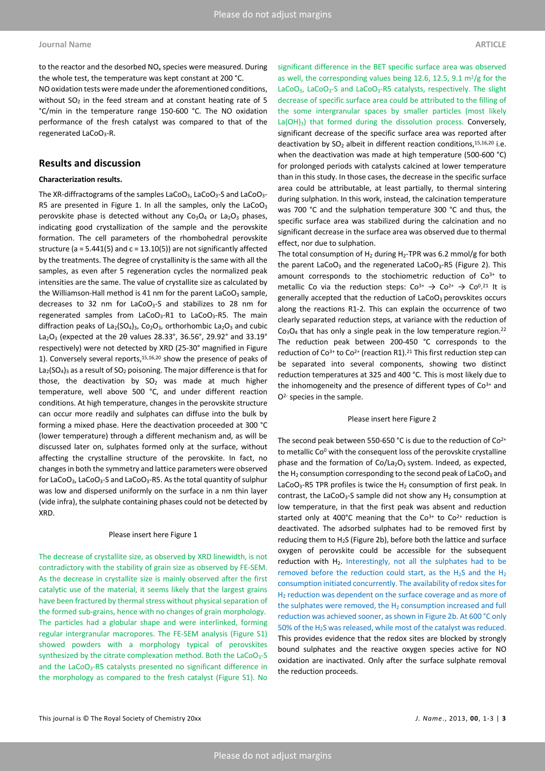to the reactor and the desorbed  $NO<sub>x</sub>$  species were measured. During the whole test, the temperature was kept constant at 200 °C.

NO oxidation tests were made under the aforementioned conditions, without  $SO<sub>2</sub>$  in the feed stream and at constant heating rate of 5 °C/min in the temperature range 150-600 °C. The NO oxidation performance of the fresh catalyst was compared to that of the regenerated LaCoO3-R.

# **Results and discussion**

#### **Characterization results.**

The XR-diffractograms of the samples LaCoO<sub>3</sub>, LaCoO<sub>3</sub>-S and LaCoO<sub>3</sub>-R5 are presented in Figure 1. In all the samples, only the LaCoO<sub>3</sub> perovskite phase is detected without any  $Co<sub>3</sub>O<sub>4</sub>$  or La<sub>2</sub>O<sub>3</sub> phases, indicating good crystallization of the sample and the perovskite formation. The cell parameters of the rhombohedral perovskite structure ( $a = 5.441(5)$  and  $c = 13.10(5)$ ) are not significantly affected by the treatments. The degree of crystallinity is the same with all the samples, as even after 5 regeneration cycles the normalized peak intensities are the same. The value of crystallite size as calculated by the Williamson-Hall method is 41 nm for the parent  $LaCoO<sub>3</sub>$  sample, decreases to 32 nm for LaCoO3-S and stabilizes to 28 nm for regenerated samples from LaCoO<sub>3</sub>-R1 to LaCoO<sub>3</sub>-R5. The main diffraction peaks of  $La_2(SO_4)_3$ ,  $Co_2O_3$ , orthorhombic  $La_2O_3$  and cubic La<sub>2</sub>O<sub>3</sub> (expected at the 2 $\theta$  values 28.33°, 36.56°, 29.92° and 33.19° respectively) were not detected by XRD (25-30° magnified in Figure 1). Conversely several reports, $15,16,20$  show the presence of peaks of  $La<sub>2</sub>(SO<sub>4</sub>)<sub>3</sub>$  as a result of SO<sub>2</sub> poisoning. The major difference is that for those, the deactivation by  $SO<sub>2</sub>$  was made at much higher temperature, well above 500 °C, and under different reaction conditions. At high temperature, changes in the perovskite structure can occur more readily and sulphates can diffuse into the bulk by forming a mixed phase. Here the deactivation proceeded at 300 °C (lower temperature) through a different mechanism and, as will be discussed later on, sulphates formed only at the surface, without affecting the crystalline structure of the perovskite. In fact, no changes in both the symmetry and lattice parameters were observed for LaCoO3, LaCoO3-S and LaCoO3-R5. As the total quantity of sulphur was low and dispersed uniformly on the surface in a nm thin layer (vide infra), the sulphate containing phases could not be detected by XRD.

### Please insert here Figure 1

The decrease of crystallite size, as observed by XRD linewidth, is not contradictory with the stability of grain size as observed by FE-SEM. As the decrease in crystallite size is mainly observed after the first catalytic use of the material, it seems likely that the largest grains have been fractured by thermal stress without physical separation of the formed sub-grains, hence with no changes of grain morphology. The particles had a globular shape and were interlinked, forming regular intergranular macropores. The FE-SEM analysis (Figure S1) showed powders with a morphology typical of perovskites synthesized by the citrate complexation method. Both the LaCoO<sub>3</sub>-S and the LaCoO<sub>3</sub>-R5 catalysts presented no significant difference in the morphology as compared to the fresh catalyst (Figure S1). No significant difference in the BET specific surface area was observed as well, the corresponding values being 12.6, 12.5, 9.1  $\mathrm{m}^2/\mathrm{g}$  for the LaCoO<sub>3</sub>, LaCoO<sub>3</sub>-S and LaCoO<sub>3</sub>-R5 catalysts, respectively. The slight decrease of specific surface area could be attributed to the filling of the some intergranular spaces by smaller particles (most likely  $La(OH)<sub>3</sub>$ ) that formed during the dissolution process. Conversely, significant decrease of the specific surface area was reported after deactivation by  $SO_2$  albeit in different reaction conditions,  $15,16,20$  i.e. when the deactivation was made at high temperature (500-600 °C) for prolonged periods with catalysts calcined at lower temperature than in this study. In those cases, the decrease in the specific surface area could be attributable, at least partially, to thermal sintering during sulphation. In this work, instead, the calcination temperature was 700 °C and the sulphation temperature 300 °C and thus, the specific surface area was stabilized during the calcination and no significant decrease in the surface area was observed due to thermal effect, nor due to sulphation.

The total consumption of  $H_2$  during  $H_2$ -TPR was 6.2 mmol/g for both the parent LaCoO<sub>3</sub> and the regenerated LaCoO<sub>3</sub>-R5 (Figure 2). This amount corresponds to the stochiometric reduction of  $Co<sup>3+</sup>$  to metallic Co via the reduction steps:  $Co^{3+} \rightarrow Co^{2+} \rightarrow Co^{0.21}$  It is generally accepted that the reduction of  $LaCoO<sub>3</sub>$  perovskites occurs along the reactions R1-2. This can explain the occurrence of two clearly separated reduction steps, at variance with the reduction of  $Co<sub>3</sub>O<sub>4</sub>$  that has only a single peak in the low temperature region.<sup>22</sup> The reduction peak between 200-450 °C corresponds to the reduction of Co<sup>3+</sup> to Co<sup>2+</sup> (reaction R1).<sup>21</sup> This first reduction step can be separated into several components, showing two distinct reduction temperatures at 325 and 400 °C. This is most likely due to the inhomogeneity and the presence of different types of  $Co<sup>3+</sup>$  and O<sup>2-</sup> species in the sample.

#### Please insert here Figure 2

The second peak between 550-650 °C is due to the reduction of Co<sup>2+</sup> to metallic Co<sup>0</sup> with the consequent loss of the perovskite crystalline phase and the formation of  $Co/La<sub>2</sub>O<sub>3</sub>$  system. Indeed, as expected, the  $H_2$  consumption corresponding to the second peak of LaCoO<sub>3</sub> and LaCoO<sub>3</sub>-R5 TPR profiles is twice the H<sub>2</sub> consumption of first peak. In contrast, the LaCoO<sub>3</sub>-S sample did not show any  $H_2$  consumption at low temperature, in that the first peak was absent and reduction started only at 400°C meaning that the  $Co<sup>3+</sup>$  to  $Co<sup>2+</sup>$  reduction is deactivated. The adsorbed sulphates had to be removed first by reducing them to  $H_2S$  (Figure 2b), before both the lattice and surface oxygen of perovskite could be accessible for the subsequent reduction with  $H_2$ . Interestingly, not all the sulphates had to be removed before the reduction could start, as the  $H_2S$  and the  $H_2$ consumption initiated concurrently. The availability of redox sites for H<sub>2</sub> reduction was dependent on the surface coverage and as more of the sulphates were removed, the  $H_2$  consumption increased and full reduction was achieved sooner, as shown in Figure 2b. At 600 °C only 50% of the H<sub>2</sub>S was released, while most of the catalyst was reduced. This provides evidence that the redox sites are blocked by strongly bound sulphates and the reactive oxygen species active for NO oxidation are inactivated. Only after the surface sulphate removal the reduction proceeds.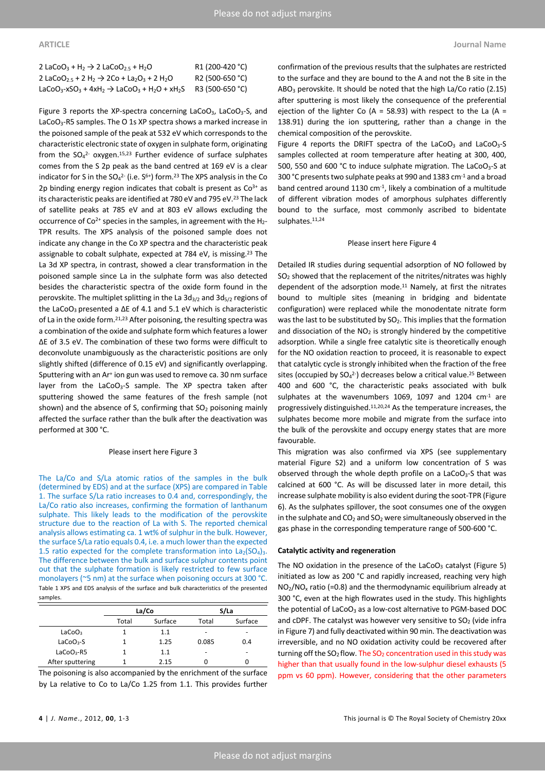| 2 LaCoO <sub>3</sub> + H <sub>2</sub> $\rightarrow$ 2 LaCoO <sub>2.5</sub> + H <sub>2</sub> O                                   | R1 (200-420 °C) |
|---------------------------------------------------------------------------------------------------------------------------------|-----------------|
| 2 LaCoO <sub>2.5</sub> + 2 H <sub>2</sub> $\rightarrow$ 2Co + La <sub>2</sub> O <sub>3</sub> + 2 H <sub>2</sub> O               | R2 (500-650 °C) |
| LaCoO <sub>3</sub> -xSO <sub>3</sub> + 4xH <sub>2</sub> $\rightarrow$ LaCoO <sub>3</sub> + H <sub>2</sub> O + xH <sub>2</sub> S | R3 (500-650 °C) |

Figure 3 reports the XP-spectra concerning LaCoO<sub>3</sub>, LaCoO<sub>3</sub>-S, and LaCoO3-R5 samples. The O 1s XP spectra shows a marked increase in the poisoned sample of the peak at 532 eV which corresponds to the characteristic electronic state of oxygen in sulphate form, originating from the  $SO_4^2$  oxygen.<sup>15,23</sup> Further evidence of surface sulphates comes from the S 2p peak as the band centred at 169 eV is a clear indicator for S in the  $SO_4^2$ - (i.e.  $S^{6+}$ ) form.<sup>23</sup> The XPS analysis in the Co 2p binding energy region indicates that cobalt is present as  $Co<sup>3+</sup>$  as its characteristic peaks are identified at 780 eV and 795 eV.<sup>23</sup> The lack of satellite peaks at 785 eV and at 803 eV allows excluding the occurrence of  $Co^{2+}$  species in the samples, in agreement with the  $H_{2-}$ TPR results. The XPS analysis of the poisoned sample does not indicate any change in the Co XP spectra and the characteristic peak assignable to cobalt sulphate, expected at 784 eV, is missing.<sup>23</sup> The La 3d XP spectra, in contrast, showed a clear transformation in the poisoned sample since La in the sulphate form was also detected besides the characteristic spectra of the oxide form found in the perovskite. The multiplet splitting in the La  $3d_{3/2}$  and  $3d_{5/2}$  regions of the LaCoO<sub>3</sub> presented a  $\Delta E$  of 4.1 and 5.1 eV which is characteristic of La in the oxide form.21,23 After poisoning, the resulting spectra was a combination of the oxide and sulphate form which features a lower ΔE of 3.5 eV. The combination of these two forms were difficult to deconvolute unambiguously as the characteristic positions are only slightly shifted (difference of 0.15 eV) and significantly overlapping. Sputtering with an Ar<sup>+</sup> ion gun was used to remove ca. 30 nm surface layer from the LaCoO<sub>3</sub>-S sample. The XP spectra taken after sputtering showed the same features of the fresh sample (not shown) and the absence of S, confirming that  $SO<sub>2</sub>$  poisoning mainly affected the surface rather than the bulk after the deactivation was performed at 300 °C.

#### Please insert here Figure 3

The La/Co and S/La atomic ratios of the samples in the bulk (determined by EDS) and at the surface (XPS) are compared in Table 1. The surface S/La ratio increases to 0.4 and, correspondingly, the La/Co ratio also increases, confirming the formation of lanthanum sulphate. This likely leads to the modification of the perovskite structure due to the reaction of La with S. The reported chemical analysis allows estimating ca. 1 wt% of sulphur in the bulk. However, the surface S/La ratio equals 0.4, i.e. a much lower than the expected 1.5 ratio expected for the complete transformation into  $La_2(SO_4)_3$ . The difference between the bulk and surface sulphur contents point out that the sulphate formation is likely restricted to few surface monolayers (~5 nm) at the surface when poisoning occurs at 300 °C. Table 1 XPS and EDS analysis of the surface and bulk characteristics of the presented samples

|                       | La/Co |         | S/La  |         |
|-----------------------|-------|---------|-------|---------|
|                       | Total | Surface | Total | Surface |
| LaCoO <sub>3</sub>    |       | 1.1     |       | -       |
| LaCoO <sub>3</sub> -S |       | 1.25    | 0.085 | 0.4     |
| $LaCoO3-R5$           |       | 1.1     | -     | -       |
| After sputtering      |       | 2.15    |       | 0       |
|                       |       |         |       |         |

The poisoning is also accompanied by the enrichment of the surface by La relative to Co to La/Co 1.25 from 1.1. This provides further

confirmation of the previous results that the sulphates are restricted to the surface and they are bound to the A and not the B site in the  $ABO<sub>3</sub>$  perovskite. It should be noted that the high La/Co ratio (2.15) after sputtering is most likely the consequence of the preferential ejection of the lighter Co (A = 58.93) with respect to the La (A = 138.91) during the ion sputtering, rather than a change in the chemical composition of the perovskite.

Figure 4 reports the DRIFT spectra of the  $LaCoO<sub>3</sub>$  and  $LaCoO<sub>3</sub>-S$ samples collected at room temperature after heating at 300, 400, 500, 550 and 600 °C to induce sulphate migration. The LaCoO<sub>3</sub>-S at 300 °C presents two sulphate peaks at 990 and 1383 cm-1 and a broad band centred around 1130 cm<sup>-1</sup>, likely a combination of a multitude of different vibration modes of amorphous sulphates differently bound to the surface, most commonly ascribed to bidentate sulphates.<sup>11,24</sup>

#### Please insert here Figure 4

Detailed IR studies during sequential adsorption of NO followed by SO2 showed that the replacement of the nitrites/nitrates was highly dependent of the adsorption mode. $11$  Namely, at first the nitrates bound to multiple sites (meaning in bridging and bidentate configuration) were replaced while the monodentate nitrate form was the last to be substituted by  $SO<sub>2</sub>$ . This implies that the formation and dissociation of the  $NO<sub>2</sub>$  is strongly hindered by the competitive adsorption. While a single free catalytic site is theoretically enough for the NO oxidation reaction to proceed, it is reasonable to expect that catalytic cycle is strongly inhibited when the fraction of the free sites (occupied by  $SO_4^2$ -) decreases below a critical value.<sup>25</sup> Between 400 and 600 °C, the characteristic peaks associated with bulk sulphates at the wavenumbers 1069, 1097 and 1204  $cm<sup>-1</sup>$  are progressively distinguished.11,20,24 As the temperature increases, the sulphates become more mobile and migrate from the surface into the bulk of the perovskite and occupy energy states that are more favourable.

This migration was also confirmed via XPS (see supplementary material Figure S2) and a uniform low concentration of S was observed through the whole depth profile on a LaCoO<sub>3</sub>-S that was calcined at 600 °C. As will be discussed later in more detail, this increase sulphate mobility is also evident during the soot-TPR (Figure 6). As the sulphates spillover, the soot consumes one of the oxygen in the sulphate and  $CO<sub>2</sub>$  and  $SO<sub>2</sub>$  were simultaneously observed in the gas phase in the corresponding temperature range of 500-600 °C.

#### **Catalytic activity and regeneration**

The NO oxidation in the presence of the  $LaCoO<sub>3</sub>$  catalyst (Figure 5) initiated as low as 200 °C and rapidly increased, reaching very high  $NO<sub>2</sub>/NO<sub>x</sub>$  ratio (=0.8) and the thermodynamic equilibrium already at 300 °C, even at the high flowrates used in the study. This highlights the potential of LaCoO<sub>3</sub> as a low-cost alternative to PGM-based DOC and cDPF. The catalyst was however very sensitive to  $SO<sub>2</sub>$  (vide infra in Figure 7) and fully deactivated within 90 min. The deactivation was irreversible, and no NO oxidation activity could be recovered after turning off the  $SO_2$  flow. The  $SO_2$  concentration used in this study was higher than that usually found in the low-sulphur diesel exhausts (5 ppm vs 60 ppm). However, considering that the other parameters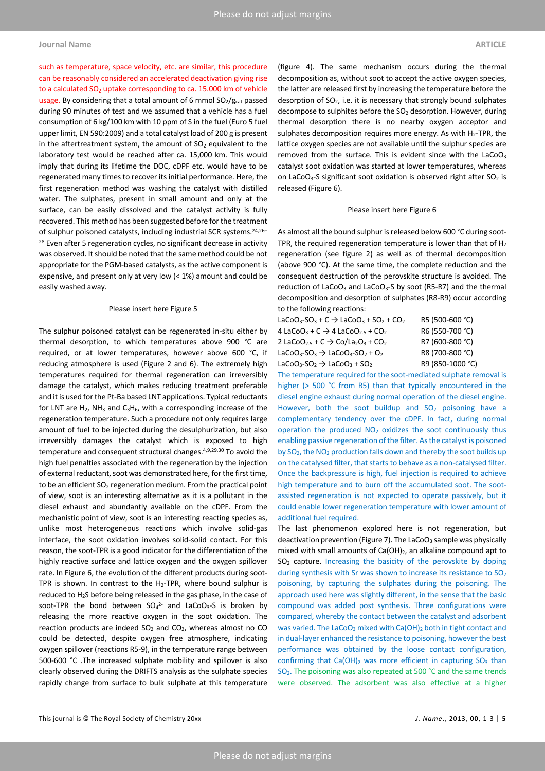### **Journal Name ARTICLE**

such as temperature, space velocity, etc. are similar, this procedure can be reasonably considered an accelerated deactivation giving rise to a calculated SO<sub>2</sub> uptake corresponding to ca. 15.000 km of vehicle usage. By considering that a total amount of 6 mmol  $SO<sub>2</sub>/g<sub>cat</sub>$  passed during 90 minutes of test and we assumed that a vehicle has a fuel consumption of 6 kg/100 km with 10 ppm of S in the fuel (Euro 5 fuel upper limit, EN 590:2009) and a total catalyst load of 200 g is present in the aftertreatment system, the amount of  $SO<sub>2</sub>$  equivalent to the laboratory test would be reached after ca. 15,000 km. This would imply that during its lifetime the DOC, cDPF etc. would have to be regenerated many times to recover its initial performance. Here, the first regeneration method was washing the catalyst with distilled water. The sulphates, present in small amount and only at the surface, can be easily dissolved and the catalyst activity is fully recovered. This method has been suggested before for the treatment of sulphur poisoned catalysts, including industrial SCR systems.24,26– <sup>28</sup> Even after 5 regeneration cycles, no significant decrease in activity was observed. It should be noted that the same method could be not appropriate for the PGM-based catalysts, as the active component is expensive, and present only at very low (< 1%) amount and could be easily washed away.

#### Please insert here Figure 5

The sulphur poisoned catalyst can be regenerated in-situ either by thermal desorption, to which temperatures above 900 °C are required, or at lower temperatures, however above 600 °C, if reducing atmosphere is used (Figure 2 and 6). The extremely high temperatures required for thermal regeneration can irreversibly damage the catalyst, which makes reducing treatment preferable and it is used for the Pt-Ba based LNT applications. Typical reductants for LNT are  $H_2$ , NH<sub>3</sub> and C<sub>3</sub>H<sub>6</sub>, with a corresponding increase of the regeneration temperature. Such a procedure not only requires large amount of fuel to be injected during the desulphurization, but also irreversibly damages the catalyst which is exposed to high temperature and consequent structural changes.4,9,29,30 To avoid the high fuel penalties associated with the regeneration by the injection of external reductant, soot was demonstrated here, for the first time, to be an efficient  $SO<sub>2</sub>$  regeneration medium. From the practical point of view, soot is an interesting alternative as it is a pollutant in the diesel exhaust and abundantly available on the cDPF. From the mechanistic point of view, soot is an interesting reacting species as, unlike most heterogeneous reactions which involve solid-gas interface, the soot oxidation involves solid-solid contact. For this reason, the soot-TPR is a good indicator for the differentiation of the highly reactive surface and lattice oxygen and the oxygen spillover rate. In Figure 6, the evolution of the different products during soot-TPR is shown. In contrast to the  $H_2$ -TPR, where bound sulphur is reduced to H2S before being released in the gas phase, in the case of soot-TPR the bond between  $SO_4^2$  and LaCo $O_3$ -S is broken by releasing the more reactive oxygen in the soot oxidation. The reaction products are indeed  $SO<sub>2</sub>$  and  $CO<sub>2</sub>$ , whereas almost no CO could be detected, despite oxygen free atmosphere, indicating oxygen spillover (reactions R5-9), in the temperature range between 500-600 °C .The increased sulphate mobility and spillover is also clearly observed during the DRIFTS analysis as the sulphate species rapidly change from surface to bulk sulphate at this temperature

(figure 4). The same mechanism occurs during the thermal decomposition as, without soot to accept the active oxygen species, the latter are released first by increasing the temperature before the desorption of  $SO<sub>2</sub>$ , i.e. it is necessary that strongly bound sulphates decompose to sulphites before the SO<sub>2</sub> desorption. However, during thermal desorption there is no nearby oxygen acceptor and sulphates decomposition requires more energy. As with  $H_2$ -TPR, the lattice oxygen species are not available until the sulphur species are removed from the surface. This is evident since with the LaCoO<sub>3</sub> catalyst soot oxidation was started at lower temperatures, whereas on LaCoO<sub>3</sub>-S significant soot oxidation is observed right after  $SO<sub>2</sub>$  is released (Figure 6).

#### Please insert here Figure 6

As almost all the bound sulphur is released below 600 °C during soot-TPR, the required regeneration temperature is lower than that of  $H_2$ regeneration (see figure 2) as well as of thermal decomposition (above 900 °C). At the same time, the complete reduction and the consequent destruction of the perovskite structure is avoided. The reduction of LaCoO<sub>3</sub> and LaCoO<sub>3</sub>-S by soot (R5-R7) and the thermal decomposition and desorption of sulphates (R8-R9) occur according to the following reactions:

| LaCoO <sub>3</sub> -SO <sub>3</sub> + C $\rightarrow$ LaCoO <sub>3</sub> + SO <sub>2</sub> + CO <sub>2</sub> | R5 (500-600 °C)  |
|--------------------------------------------------------------------------------------------------------------|------------------|
| 4 LaCoO <sub>3</sub> + C $\rightarrow$ 4 LaCoO <sub>2.5</sub> + CO <sub>2</sub>                              | R6 (550-700 °C)  |
| 2 LaCoO <sub>2.5</sub> + C $\rightarrow$ Co/La <sub>2</sub> O <sub>3</sub> + CO <sub>2</sub>                 | R7 (600-800 °C)  |
| LaCoO <sub>3</sub> -SO <sub>3</sub> $\rightarrow$ LaCoO <sub>3</sub> -SO <sub>2</sub> + O <sub>2</sub>       | R8 (700-800 °C)  |
| LaCoO <sub>3</sub> -SO <sub>2</sub> $\rightarrow$ LaCoO <sub>3</sub> + SO <sub>2</sub>                       | R9 (850-1000 °C) |

The temperature required for the soot-mediated sulphate removal is higher (> 500 °C from R5) than that typically encountered in the diesel engine exhaust during normal operation of the diesel engine. However, both the soot buildup and  $SO<sub>2</sub>$  poisoning have a complementary tendency over the cDPF. In fact, during normal operation the produced  $NO<sub>2</sub>$  oxidizes the soot continuously thus enabling passive regeneration of the filter. As the catalyst is poisoned by SO<sub>2</sub>, the NO<sub>2</sub> production falls down and thereby the soot builds up on the catalysed filter, that starts to behave as a non-catalysed filter. Once the backpressure is high, fuel injection is required to achieve high temperature and to burn off the accumulated soot. The sootassisted regeneration is not expected to operate passively, but it could enable lower regeneration temperature with lower amount of additional fuel required.

The last phenomenon explored here is not regeneration, but deactivation prevention (Figure 7). The LaCoO<sub>3</sub> sample was physically mixed with small amounts of  $Ca(OH)_2$ , an alkaline compound apt to  $SO<sub>2</sub>$  capture. Increasing the basicity of the perovskite by doping during synthesis with Sr was shown to increase its resistance to  $SO<sub>2</sub>$ poisoning, by capturing the sulphates during the poisoning. The approach used here was slightly different, in the sense that the basic compound was added post synthesis. Three configurations were compared, whereby the contact between the catalyst and adsorbent was varied. The LaCoO<sub>3</sub> mixed with Ca(OH)<sub>2</sub> both in tight contact and in dual-layer enhanced the resistance to poisoning, however the best performance was obtained by the loose contact configuration, confirming that Ca(OH)<sub>2</sub> was more efficient in capturing  $SO<sub>3</sub>$  than SO<sub>2</sub>. The poisoning was also repeated at 500 °C and the same trends were observed. The adsorbent was also effective at a higher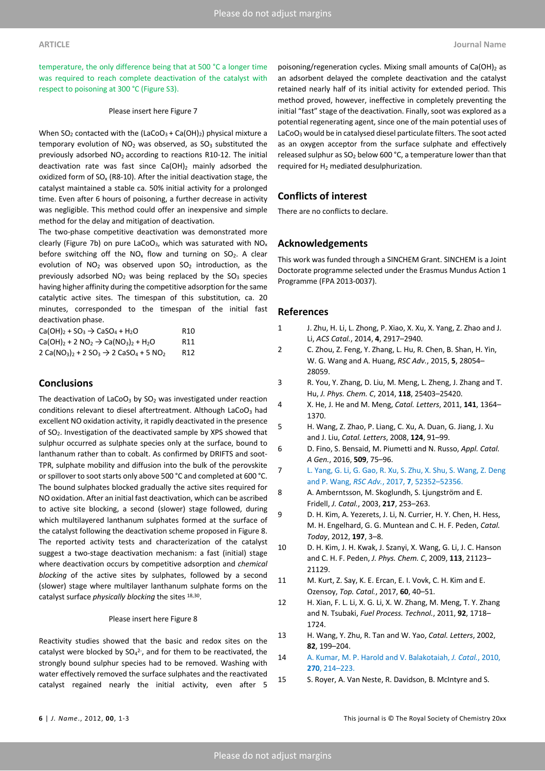temperature, the only difference being that at 500 °C a longer time was required to reach complete deactivation of the catalyst with respect to poisoning at 300 °C (Figure S3).

### Please insert here Figure 7

When  $SO_2$  contacted with the (LaCoO<sub>3</sub> + Ca(OH)<sub>2</sub>) physical mixture a temporary evolution of  $NO<sub>2</sub>$  was observed, as  $SO<sub>3</sub>$  substituted the previously adsorbed NO2 according to reactions R10-12. The initial deactivation rate was fast since  $Ca(OH)_2$  mainly adsorbed the oxidized form of  $SO<sub>x</sub>$  (R8-10). After the initial deactivation stage, the catalyst maintained a stable ca. 50% initial activity for a prolonged time. Even after 6 hours of poisoning, a further decrease in activity was negligible. This method could offer an inexpensive and simple method for the delay and mitigation of deactivation.

The two-phase competitive deactivation was demonstrated more clearly (Figure 7b) on pure LaCoO<sub>3</sub>, which was saturated with  $NO<sub>x</sub>$ before switching off the  $NO_x$  flow and turning on  $SO_2$ . A clear evolution of  $NO<sub>2</sub>$  was observed upon  $SO<sub>2</sub>$  introduction, as the previously adsorbed  $NO<sub>2</sub>$  was being replaced by the  $SO<sub>3</sub>$  species having higher affinity during the competitive adsorption for the same catalytic active sites. The timespan of this substitution, ca. 20 minutes, corresponded to the timespan of the initial fast deactivation phase.

| $Ca(OH)_2 + SO_3 \rightarrow CaSO_4 + H_2O$             | R <sub>10</sub> |
|---------------------------------------------------------|-----------------|
| $Ca(OH)_2 + 2 NO_2 \rightarrow Ca(NO_3)_2 + H_2O$       | R11             |
| $2 Ca(NO_3)_{2} + 2 SO_3 \rightarrow 2 CaSO_4 + 5 NO_2$ | R12             |

# **Conclusions**

The deactivation of  $LaCoO<sub>3</sub>$  by  $SO<sub>2</sub>$  was investigated under reaction conditions relevant to diesel aftertreatment. Although LaCoO<sub>3</sub> had excellent NO oxidation activity, it rapidly deactivated in the presence of SO2. Investigation of the deactivated sample by XPS showed that sulphur occurred as sulphate species only at the surface, bound to lanthanum rather than to cobalt. As confirmed by DRIFTS and soot-TPR, sulphate mobility and diffusion into the bulk of the perovskite or spillover to soot starts only above 500 °C and completed at 600 °C. The bound sulphates blocked gradually the active sites required for NO oxidation. After an initial fast deactivation, which can be ascribed to active site blocking, a second (slower) stage followed, during which multilayered lanthanum sulphates formed at the surface of the catalyst following the deactivation scheme proposed in Figure 8. The reported activity tests and characterization of the catalyst suggest a two-stage deactivation mechanism: a fast (initial) stage where deactivation occurs by competitive adsorption and *chemical blocking* of the active sites by sulphates, followed by a second (slower) stage where multilayer lanthanum sulphate forms on the catalyst surface *physically blocking* the sites 18,30.

#### Please insert here Figure 8

Reactivity studies showed that the basic and redox sites on the catalyst were blocked by  $SO_4^2$ -, and for them to be reactivated, the strongly bound sulphur species had to be removed. Washing with water effectively removed the surface sulphates and the reactivated catalyst regained nearly the initial activity, even after 5

poisoning/regeneration cycles. Mixing small amounts of  $Ca(OH)_2$  as an adsorbent delayed the complete deactivation and the catalyst retained nearly half of its initial activity for extended period. This method proved, however, ineffective in completely preventing the initial "fast" stage of the deactivation. Finally, soot was explored as a potential regenerating agent, since one of the main potential uses of LaCoO<sub>3</sub> would be in catalysed diesel particulate filters. The soot acted as an oxygen acceptor from the surface sulphate and effectively released sulphur as  $SO_2$  below 600 °C, a temperature lower than that required for H<sub>2</sub> mediated desulphurization.

# **Conflicts of interest**

There are no conflicts to declare.

## **Acknowledgements**

This work was funded through a SINCHEM Grant. SINCHEM is a Joint Doctorate programme selected under the Erasmus Mundus Action 1 Programme (FPA 2013-0037).

### **References**

- 1 J. Zhu, H. Li, L. Zhong, P. Xiao, X. Xu, X. Yang, Z. Zhao and J. Li, *ACS Catal.*, 2014, **4**, 2917–2940.
- 2 C. Zhou, Z. Feng, Y. Zhang, L. Hu, R. Chen, B. Shan, H. Yin, W. G. Wang and A. Huang, *RSC Adv.*, 2015, **5**, 28054– 28059.
- 3 R. You, Y. Zhang, D. Liu, M. Meng, L. Zheng, J. Zhang and T. Hu, *J. Phys. Chem. C*, 2014, **118**, 25403–25420.
- 4 X. He, J. He and M. Meng, *Catal. Letters*, 2011, **141**, 1364– 1370.
- 5 H. Wang, Z. Zhao, P. Liang, C. Xu, A. Duan, G. Jiang, J. Xu and J. Liu, *Catal. Letters*, 2008, **124**, 91–99.
- 6 D. Fino, S. Bensaid, M. Piumetti and N. Russo, *Appl. Catal. A Gen.*, 2016, **509**, 75–96.
- 7 L. Yang, G. Li, G. Gao, R. Xu, S. Zhu, X. Shu, S. Wang, Z. Deng and P. Wang, *RSC Adv.*, 2017, **7**, 52352–52356.
- 8 A. Amberntsson, M. Skoglundh, S. Ljungström and E. Fridell, *J. Catal.*, 2003, **217**, 253–263.
- 9 D. H. Kim, A. Yezerets, J. Li, N. Currier, H. Y. Chen, H. Hess, M. H. Engelhard, G. G. Muntean and C. H. F. Peden, *Catal. Today*, 2012, **197**, 3–8.
- 10 D. H. Kim, J. H. Kwak, J. Szanyi, X. Wang, G. Li, J. C. Hanson and C. H. F. Peden, *J. Phys. Chem. C*, 2009, **113**, 21123– 21129.
- 11 M. Kurt, Z. Say, K. E. Ercan, E. I. Vovk, C. H. Kim and E. Ozensoy, *Top. Catal.*, 2017, **60**, 40–51.
- 12 H. Xian, F. L. Li, X. G. Li, X. W. Zhang, M. Meng, T. Y. Zhang and N. Tsubaki, *Fuel Process. Technol.*, 2011, **92**, 1718– 1724.
- 13 H. Wang, Y. Zhu, R. Tan and W. Yao, *Catal. Letters*, 2002, **82**, 199–204.
- 14 A. Kumar, M. P. Harold and V. Balakotaiah, *J. Catal.*, 2010, **270**, 214–223.
- 15 S. Royer, A. Van Neste, R. Davidson, B. McIntyre and S.